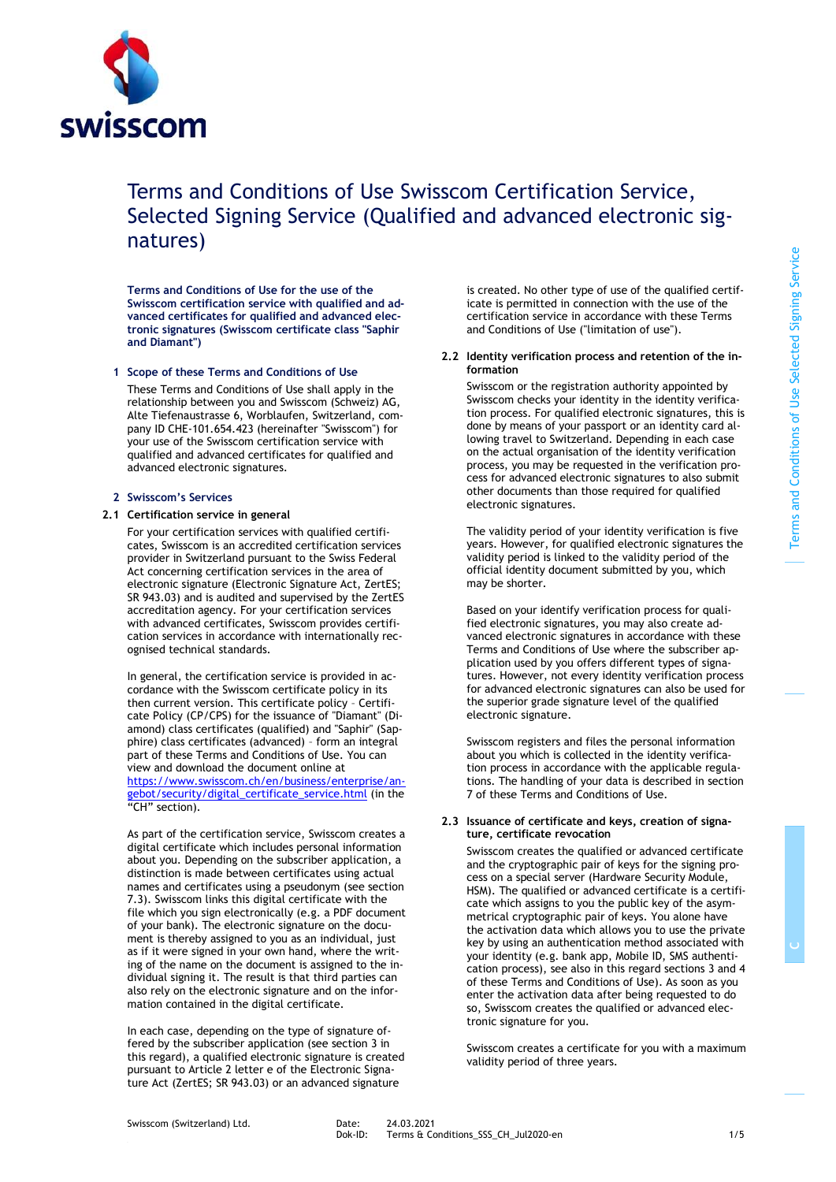

# Terms and Conditions of Use Swisscom Certification Service, Selected Signing Service (Qualified and advanced electronic signatures)

**Terms and Conditions of Use for the use of the Swisscom certification service with qualified and advanced certificates for qualified and advanced electronic signatures (Swisscom certificate class "Saphir and Diamant")**

## **1 Scope of these Terms and Conditions of Use**

These Terms and Conditions of Use shall apply in the relationship between you and Swisscom (Schweiz) AG, Alte Tiefenaustrasse 6, Worblaufen, Switzerland, company ID CHE-101.654.423 (hereinafter "Swisscom") for your use of the Swisscom certification service with qualified and advanced certificates for qualified and advanced electronic signatures.

#### **2 Swisscom's Services**

#### **2.1 Certification service in general**

<span id="page-0-0"></span>For your certification services with qualified certificates, Swisscom is an accredited certification services provider in Switzerland pursuant to the Swiss Federal Act concerning certification services in the area of electronic signature (Electronic Signature Act, ZertES; SR 943.03) and is audited and supervised by the ZertES accreditation agency. For your certification services with advanced certificates, Swisscom provides certification services in accordance with internationally recognised technical standards.

In general, the certification service is provided in accordance with the Swisscom certificate policy in its then current version. This certificate policy – Certificate Policy (CP/CPS) for the issuance of "Diamant" (Diamond) class certificates (qualified) and "Saphir" (Sapphire) class certificates (advanced) – form an integral part of these Terms and Conditions of Use. You can view and download the document online at [https://www.swisscom.ch/en/business/enterprise/an](https://www.swisscom.ch/en/business/enterprise/angebot/security/digital_certificate_service.html)[gebot/security/digital\\_certificate\\_service.html](https://www.swisscom.ch/en/business/enterprise/angebot/security/digital_certificate_service.html) (in the "CH" section).

As part of the certification service, Swisscom creates a digital certificate which includes personal information about you. Depending on the subscriber application, a distinction is made between certificates using actual names and certificates using a pseudonym (see section 7.3). Swisscom links this digital certificate with the file which you sign electronically (e.g. a PDF document of your bank). The electronic signature on the document is thereby assigned to you as an individual, just as if it were signed in your own hand, where the writing of the name on the document is assigned to the individual signing it. The result is that third parties can also rely on the electronic signature and on the information contained in the digital certificate.

In each case, depending on the type of signature offered by the subscriber application (see section 3 in this regard), a qualified electronic signature is created pursuant to Article 2 letter e of the Electronic Signature Act (ZertES; SR 943.03) or an advanced signature

is created. No other type of use of the qualified certificate is permitted in connection with the use of the certification service in accordance with these Terms and Conditions of Use ("limitation of use").

# **2.2 Identity verification process and retention of the information**

Swisscom or the registration authority appointed by Swisscom checks your identity in the identity verification process. For qualified electronic signatures, this is done by means of your passport or an identity card allowing travel to Switzerland. Depending in each case on the actual organisation of the identity verification process, you may be requested in the verification process for advanced electronic signatures to also submit other documents than those required for qualified electronic signatures.

The validity period of your identity verification is five years. However, for qualified electronic signatures the validity period is linked to the validity period of the official identity document submitted by you, which may be shorter.

Based on your identify verification process for qualified electronic signatures, you may also create advanced electronic signatures in accordance with these Terms and Conditions of Use where the subscriber application used by you offers different types of signatures. However, not every identity verification process for advanced electronic signatures can also be used for the superior grade signature level of the qualified electronic signature.

Swisscom registers and files the personal information about you which is collected in the identity verification process in accordance with the applicable regulations. The handling of your data is described in section 7 of these Terms and Conditions of Use.

# **2.3 Issuance of certificate and keys, creation of signature, certificate revocation**

Swisscom creates the qualified or advanced certificate and the cryptographic pair of keys for the signing process on a special server (Hardware Security Module, HSM). The qualified or advanced certificate is a certificate which assigns to you the public key of the asymmetrical cryptographic pair of keys. You alone have the activation data which allows you to use the private key by using an authentication method associated with your identity (e.g. bank app, Mobile ID, SMS authentication process), see also in this regard section[s 3](#page-1-0) an[d 4](#page-1-1) of these Terms and Conditions of Use). As soon as you enter the activation data after being requested to do so, Swisscom creates the qualified or advanced electronic signature for you.

Swisscom creates a certificate for you with a maximum validity period of three years.

**C**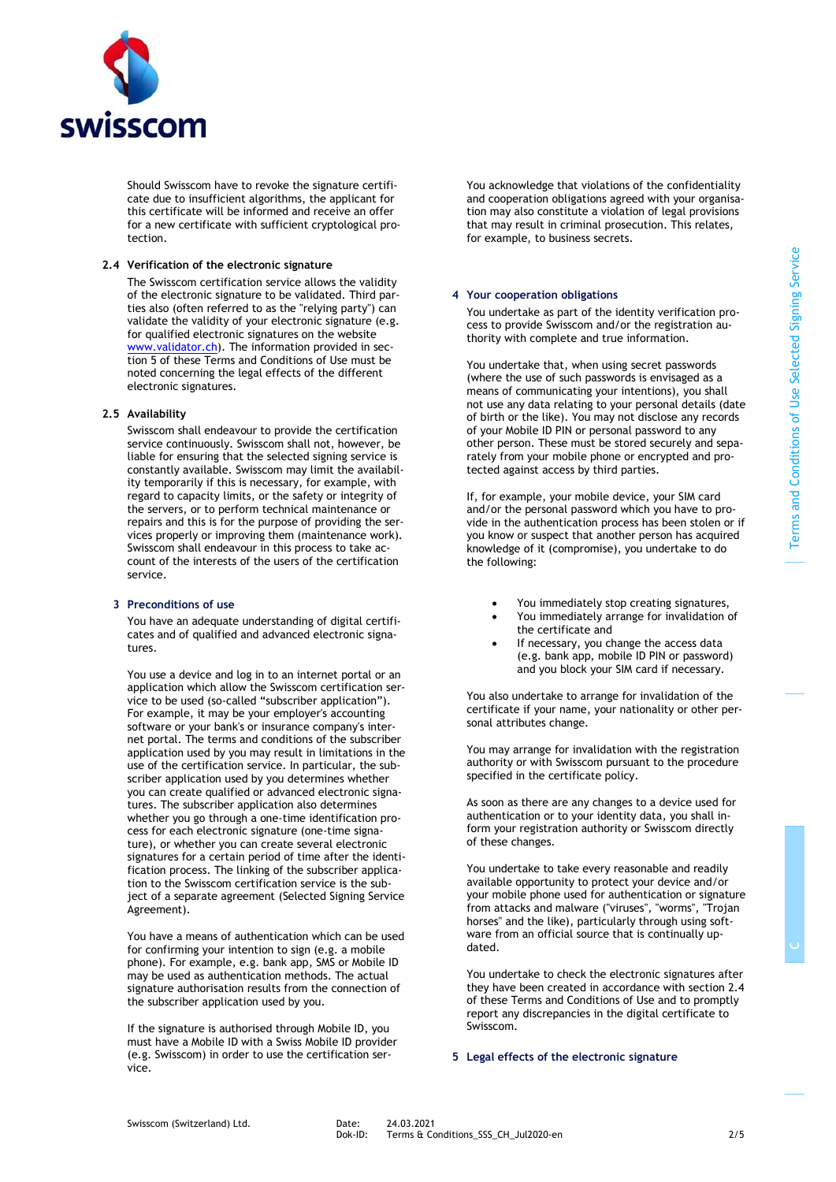

Should Swisscom have to revoke the signature certificate due to insufficient algorithms, the applicant for this certificate will be informed and receive an offer for a new certificate with sufficient cryptological protection.

## **2.4 Verification of the electronic signature**

<span id="page-1-3"></span>The Swisscom certification service allows the validity of the electronic signature to be validated. Third parties also (often referred to as the "relying party") can validate the validity of your electronic signature (e.g. for qualified electronic signatures on the website [www.validator.ch\)](http://www.validator.ch/). The information provided in section [5](#page-1-2) of these Terms and Conditions of Use must be noted concerning the legal effects of the different electronic signatures.

#### **2.5 Availability**

Swisscom shall endeavour to provide the certification service continuously. Swisscom shall not, however, be liable for ensuring that the selected signing service is constantly available. Swisscom may limit the availability temporarily if this is necessary, for example, with regard to capacity limits, or the safety or integrity of the servers, or to perform technical maintenance or repairs and this is for the purpose of providing the services properly or improving them (maintenance work). Swisscom shall endeavour in this process to take account of the interests of the users of the certification service.

# <span id="page-1-0"></span>**3 Preconditions of use**

You have an adequate understanding of digital certificates and of qualified and advanced electronic signatures.

You use a device and log in to an internet portal or an application which allow the Swisscom certification service to be used (so-called "subscriber application"). For example, it may be your employer's accounting software or your bank's or insurance company's internet portal. The terms and conditions of the subscriber application used by you may result in limitations in the use of the certification service. In particular, the subscriber application used by you determines whether you can create qualified or advanced electronic signatures. The subscriber application also determines whether you go through a one-time identification process for each electronic signature (one-time signature), or whether you can create several electronic signatures for a certain period of time after the identification process. The linking of the subscriber application to the Swisscom certification service is the subject of a separate agreement (Selected Signing Service Agreement).

You have a means of authentication which can be used for confirming your intention to sign (e.g. a mobile phone). For example, e.g. bank app, SMS or Mobile ID may be used as authentication methods. The actual signature authorisation results from the connection of the subscriber application used by you.

If the signature is authorised through Mobile ID, you must have a Mobile ID with a Swiss Mobile ID provider (e.g. Swisscom) in order to use the certification service.

You acknowledge that violations of the confidentiality and cooperation obligations agreed with your organisation may also constitute a violation of legal provisions that may result in criminal prosecution. This relates, for example, to business secrets.

#### <span id="page-1-1"></span>**4 Your cooperation obligations**

You undertake as part of the identity verification process to provide Swisscom and/or the registration authority with complete and true information.

You undertake that, when using secret passwords (where the use of such passwords is envisaged as a means of communicating your intentions), you shall not use any data relating to your personal details (date of birth or the like). You may not disclose any records of your Mobile ID PIN or personal password to any other person. These must be stored securely and separately from your mobile phone or encrypted and protected against access by third parties.

If, for example, your mobile device, your SIM card and/or the personal password which you have to provide in the authentication process has been stolen or if you know or suspect that another person has acquired knowledge of it (compromise), you undertake to do the following:

- You immediately stop creating signatures,
- You immediately arrange for invalidation of the certificate and
- If necessary, you change the access data (e.g. bank app, mobile ID PIN or password) and you block your SIM card if necessary.

You also undertake to arrange for invalidation of the certificate if your name, your nationality or other personal attributes change.

You may arrange for invalidation with the registration authority or with Swisscom pursuant to the procedure specified in the certificate policy.

As soon as there are any changes to a device used for authentication or to your identity data, you shall inform your registration authority or Swisscom directly of these changes.

You undertake to take every reasonable and readily available opportunity to protect your device and/or your mobile phone used for authentication or signature from attacks and malware ("viruses", "worms", "Trojan horses" and the like), particularly through using software from an official source that is continually updated.

You undertake to check the electronic signatures after they have been created in accordance with sectio[n 2.4](#page-1-3) of these Terms and Conditions of Use and to promptly report any discrepancies in the digital certificate to Swisscom.

# <span id="page-1-2"></span>**5 Legal effects of the electronic signature**

**C**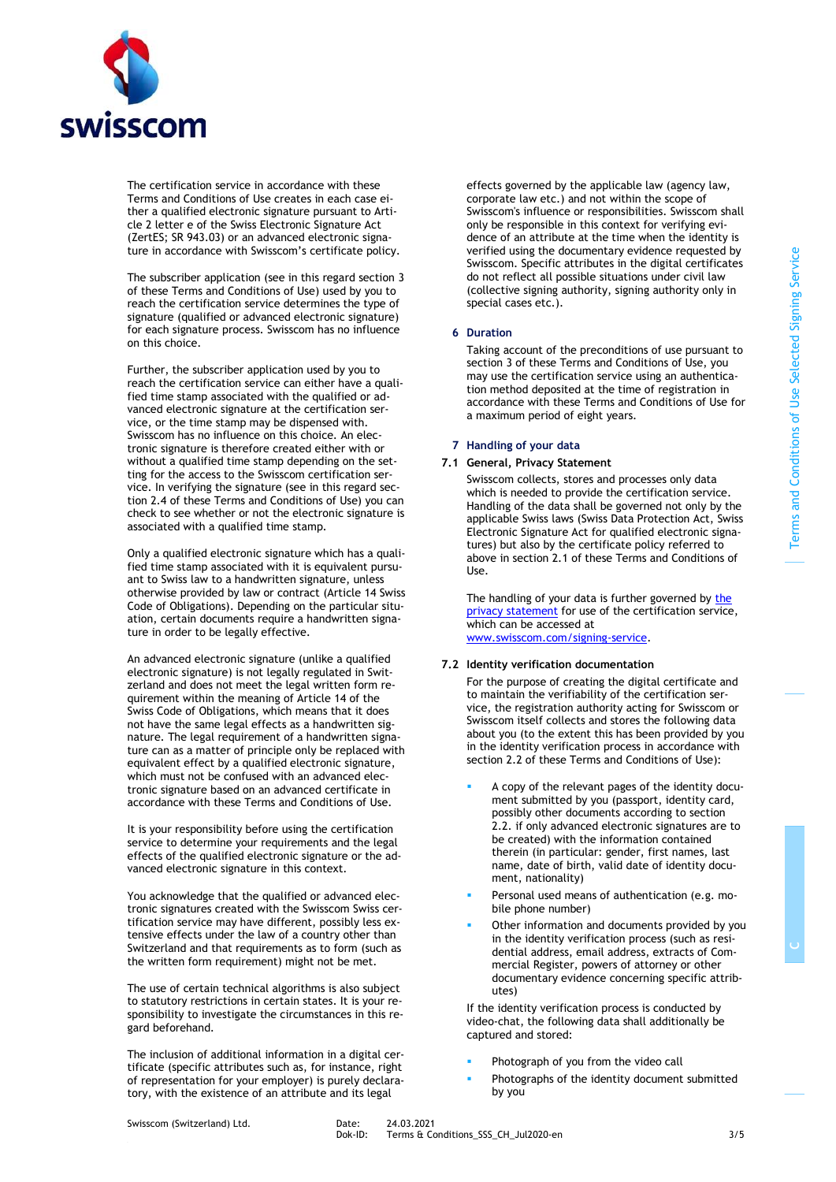

The certification service in accordance with these Terms and Conditions of Use creates in each case either a qualified electronic signature pursuant to Article 2 letter e of the Swiss Electronic Signature Act (ZertES; SR 943.03) or an advanced electronic signature in accordance with Swisscom's certificate policy.

The subscriber application (see in this regard sectio[n 3](#page-1-0) of these Terms and Conditions of Use) used by you to reach the certification service determines the type of signature (qualified or advanced electronic signature) for each signature process. Swisscom has no influence on this choice.

Further, the subscriber application used by you to reach the certification service can either have a qualified time stamp associated with the qualified or advanced electronic signature at the certification service, or the time stamp may be dispensed with. Swisscom has no influence on this choice. An electronic signature is therefore created either with or without a qualified time stamp depending on the setting for the access to the Swisscom certification service. In verifying the signature (see in this regard section [2.4](#page-1-3) of these Terms and Conditions of Use) you can check to see whether or not the electronic signature is associated with a qualified time stamp.

Only a qualified electronic signature which has a qualified time stamp associated with it is equivalent pursuant to Swiss law to a handwritten signature, unless otherwise provided by law or contract (Article 14 Swiss Code of Obligations). Depending on the particular situation, certain documents require a handwritten signature in order to be legally effective.

An advanced electronic signature (unlike a qualified electronic signature) is not legally regulated in Switzerland and does not meet the legal written form requirement within the meaning of Article 14 of the Swiss Code of Obligations, which means that it does not have the same legal effects as a handwritten signature. The legal requirement of a handwritten signature can as a matter of principle only be replaced with equivalent effect by a qualified electronic signature, which must not be confused with an advanced electronic signature based on an advanced certificate in accordance with these Terms and Conditions of Use.

It is your responsibility before using the certification service to determine your requirements and the legal effects of the qualified electronic signature or the advanced electronic signature in this context.

You acknowledge that the qualified or advanced electronic signatures created with the Swisscom Swiss certification service may have different, possibly less extensive effects under the law of a country other than Switzerland and that requirements as to form (such as the written form requirement) might not be met.

The use of certain technical algorithms is also subject to statutory restrictions in certain states. It is your responsibility to investigate the circumstances in this regard beforehand.

The inclusion of additional information in a digital certificate (specific attributes such as, for instance, right of representation for your employer) is purely declaratory, with the existence of an attribute and its legal

effects governed by the applicable law (agency law, corporate law etc.) and not within the scope of Swisscom's influence or responsibilities. Swisscom shall only be responsible in this context for verifying evidence of an attribute at the time when the identity is verified using the documentary evidence requested by Swisscom. Specific attributes in the digital certificates do not reflect all possible situations under civil law (collective signing authority, signing authority only in special cases etc.).

## <span id="page-2-1"></span>**6 Duration**

Taking account of the preconditions of use pursuant to sectio[n 3](#page-1-0) of these Terms and Conditions of Use, you may use the certification service using an authentication method deposited at the time of registration in accordance with these Terms and Conditions of Use for a maximum period of eight years.

#### **7 Handling of your data**

# **7.1 General, Privacy Statement**

Swisscom collects, stores and processes only data which is needed to provide the certification service. Handling of the data shall be governed not only by the applicable Swiss laws (Swiss Data Protection Act, Swiss Electronic Signature Act for qualified electronic signatures) but also by the certificate policy referred to above in section [2.1](#page-0-0) of these Terms and Conditions of Use.

The handling of your data is further governed by the [privacy statement](http://documents.swisscom.com/product/filestore/lib/b95cda36-6275-426c-ae8b-d5104ea11dbe/GDPR-CH-en.pdf) for use of the certification service, which can be accessed at [www.swisscom.com/signing-service.](http://www.swisscom.com/signing-service)

#### **7.2 Identity verification documentation**

<span id="page-2-0"></span>For the purpose of creating the digital certificate and to maintain the verifiability of the certification service, the registration authority acting for Swisscom or Swisscom itself collects and stores the following data about you (to the extent this has been provided by you in the identity verification process in accordance with section 2.2 of these Terms and Conditions of Use):

- A copy of the relevant pages of the identity document submitted by you (passport, identity card, possibly other documents according to section 2.2. if only advanced electronic signatures are to be created) with the information contained therein (in particular: gender, first names, last name, date of birth, valid date of identity document, nationality)
- Personal used means of authentication (e.g. mobile phone number)
- Other information and documents provided by you in the identity verification process (such as residential address, email address, extracts of Commercial Register, powers of attorney or other documentary evidence concerning specific attributes)

If the identity verification process is conducted by video-chat, the following data shall additionally be captured and stored:

- Photograph of you from the video call
- Photographs of the identity document submitted by you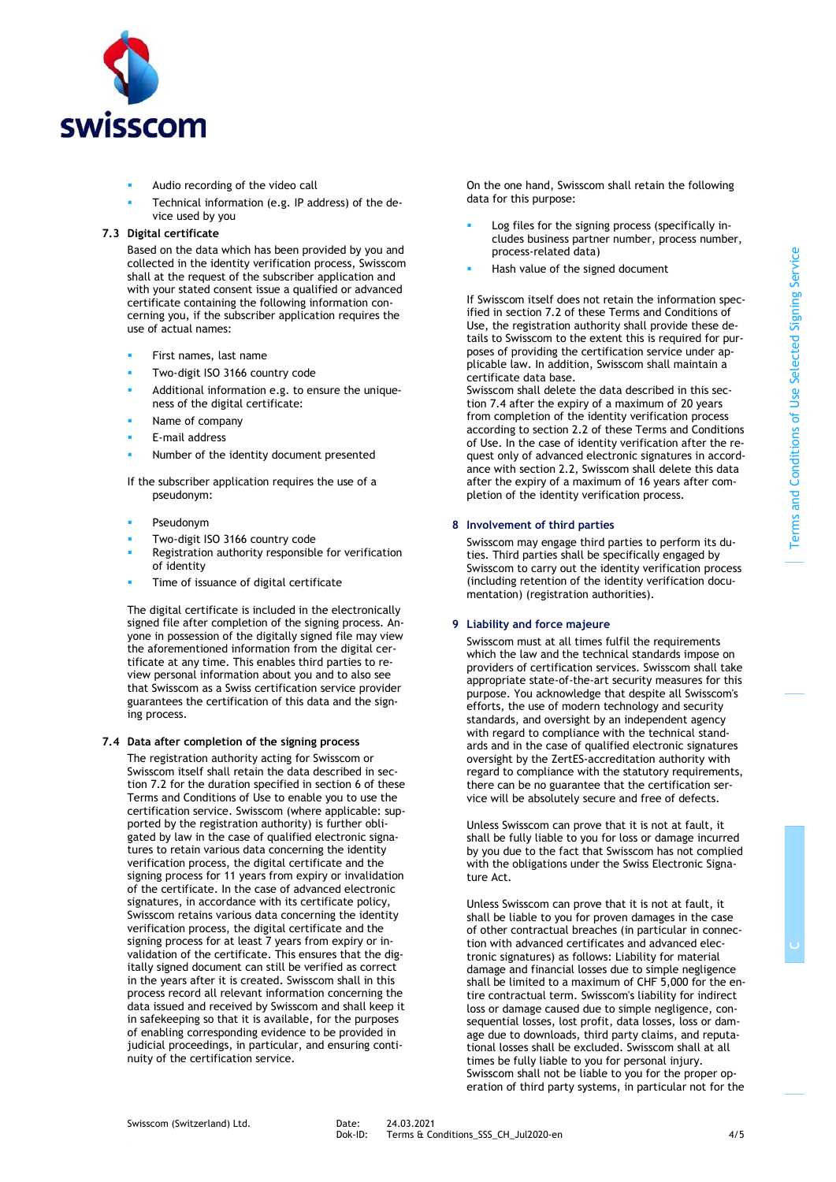

- Audio recording of the video call
- Technical information (e.g. IP address) of the device used by you

# **7.3 Digital certificate**

Based on the data which has been provided by you and collected in the identity verification process, Swisscom shall at the request of the subscriber application and with your stated consent issue a qualified or advanced certificate containing the following information concerning you, if the subscriber application requires the use of actual names:

- First names, last name
- Two-digit ISO 3166 country code
- Additional information e.g. to ensure the uniqueness of the digital certificate:
- Name of company
- E-mail address
- Number of the identity document presented

If the subscriber application requires the use of a pseudonym:

- Pseudonym
- Two-digit ISO 3166 country code
- Registration authority responsible for verification of identity
- Time of issuance of digital certificate

The digital certificate is included in the electronically signed file after completion of the signing process. Anyone in possession of the digitally signed file may view the aforementioned information from the digital certificate at any time. This enables third parties to review personal information about you and to also see that Swisscom as a Swiss certification service provider guarantees the certification of this data and the signing process.

# **7.4 Data after completion of the signing process**

The registration authority acting for Swisscom or Swisscom itself shall retain the data described in section [7.2](#page-2-0) for the duration specified in sectio[n 6](#page-2-1) of these Terms and Conditions of Use to enable you to use the certification service. Swisscom (where applicable: supported by the registration authority) is further obligated by law in the case of qualified electronic signatures to retain various data concerning the identity verification process, the digital certificate and the signing process for 11 years from expiry or invalidation of the certificate. In the case of advanced electronic signatures, in accordance with its certificate policy, Swisscom retains various data concerning the identity verification process, the digital certificate and the signing process for at least 7 years from expiry or invalidation of the certificate. This ensures that the digitally signed document can still be verified as correct in the years after it is created. Swisscom shall in this process record all relevant information concerning the data issued and received by Swisscom and shall keep it in safekeeping so that it is available, for the purposes of enabling corresponding evidence to be provided in judicial proceedings, in particular, and ensuring continuity of the certification service.

On the one hand, Swisscom shall retain the following data for this purpose:

- Log files for the signing process (specifically includes business partner number, process number, process-related data)
- Hash value of the signed document

If Swisscom itself does not retain the information specified in sectio[n 7.2](#page-2-0) of these Terms and Conditions of Use, the registration authority shall provide these details to Swisscom to the extent this is required for purposes of providing the certification service under applicable law. In addition, Swisscom shall maintain a certificate data base.

Swisscom shall delete the data described in this section 7.4 after the expiry of a maximum of 20 years from completion of the identity verification process according to section 2.2 of these Terms and Conditions of Use. In the case of identity verification after the request only of advanced electronic signatures in accordance with section 2.2, Swisscom shall delete this data after the expiry of a maximum of 16 years after completion of the identity verification process.

# **8 Involvement of third parties**

Swisscom may engage third parties to perform its duties. Third parties shall be specifically engaged by Swisscom to carry out the identity verification process (including retention of the identity verification documentation) (registration authorities).

# **9 Liability and force majeure**

Swisscom must at all times fulfil the requirements which the law and the technical standards impose on providers of certification services. Swisscom shall take appropriate state-of-the-art security measures for this purpose. You acknowledge that despite all Swisscom's efforts, the use of modern technology and security standards, and oversight by an independent agency with regard to compliance with the technical standards and in the case of qualified electronic signatures oversight by the ZertES-accreditation authority with regard to compliance with the statutory requirements, there can be no guarantee that the certification service will be absolutely secure and free of defects.

Unless Swisscom can prove that it is not at fault, it shall be fully liable to you for loss or damage incurred by you due to the fact that Swisscom has not complied with the obligations under the Swiss Electronic Signature Act.

Unless Swisscom can prove that it is not at fault, it shall be liable to you for proven damages in the case of other contractual breaches (in particular in connection with advanced certificates and advanced electronic signatures) as follows: Liability for material damage and financial losses due to simple negligence shall be limited to a maximum of CHF 5,000 for the entire contractual term. Swisscom's liability for indirect loss or damage caused due to simple negligence, consequential losses, lost profit, data losses, loss or damage due to downloads, third party claims, and reputational losses shall be excluded. Swisscom shall at all times be fully liable to you for personal injury. Swisscom shall not be liable to you for the proper operation of third party systems, in particular not for the